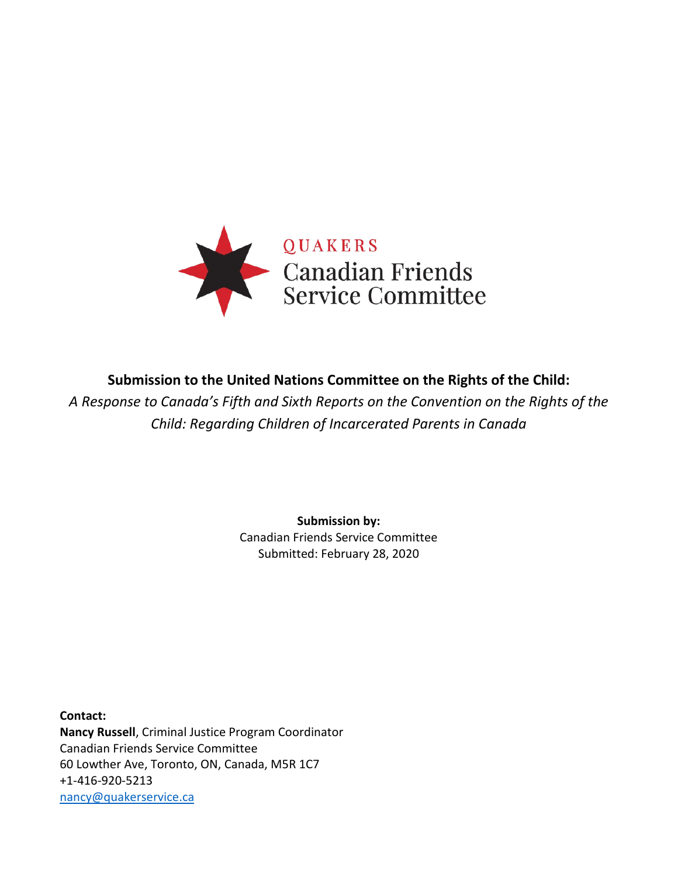

# **Submission to the United Nations Committee on the Rights of the Child:**

*A Response to Canada's Fifth and Sixth Reports on the Convention on the Rights of the Child: Regarding Children of Incarcerated Parents in Canada*

> **Submission by:** Canadian Friends Service Committee Submitted: February 28, 2020

**Contact: Nancy Russell**, Criminal Justice Program Coordinator Canadian Friends Service Committee 60 Lowther Ave, Toronto, ON, Canada, M5R 1C7 +1-416-920-5213 [nancy@quakerservice.ca](mailto:nancy@quakerservice.ca)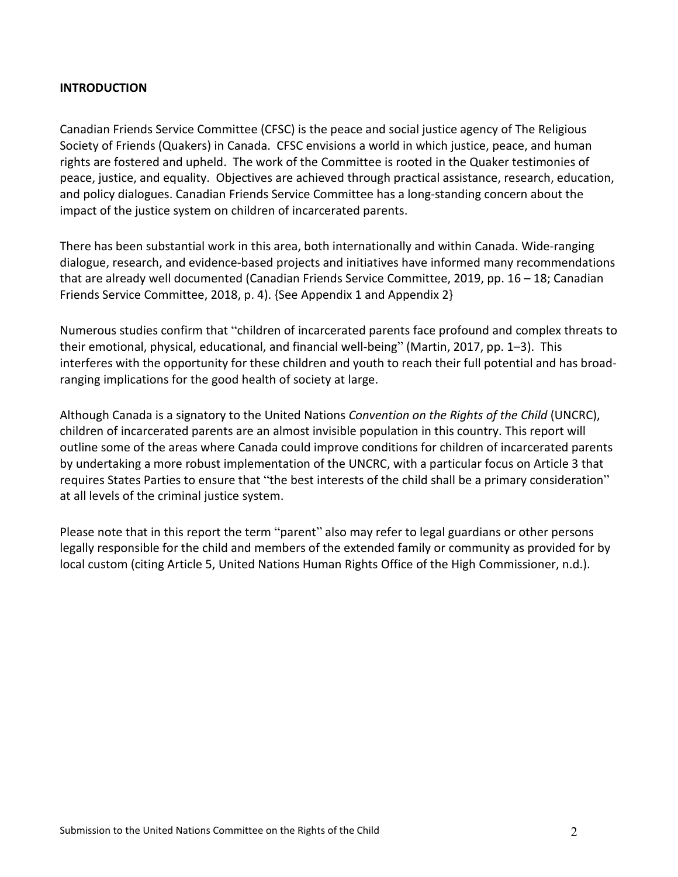#### **INTRODUCTION**

Canadian Friends Service Committee (CFSC) is the peace and social justice agency of The Religious Society of Friends (Quakers) in Canada. CFSC envisions a world in which justice, peace, and human rights are fostered and upheld. The work of the Committee is rooted in the Quaker testimonies of peace, justice, and equality. Objectives are achieved through practical assistance, research, education, and policy dialogues. Canadian Friends Service Committee has a long-standing concern about the impact of the justice system on children of incarcerated parents.

There has been substantial work in this area, both internationally and within Canada. Wide-ranging dialogue, research, and evidence-based projects and initiatives have informed many recommendations that are already well documented (Canadian Friends Service Committee, 2019, pp. 16 – 18; Canadian Friends Service Committee, 2018, p. 4). {See Appendix 1 and Appendix 2}

Numerous studies confirm that "children of incarcerated parents face profound and complex threats to their emotional, physical, educational, and financial well-being" (Martin, 2017, pp. 1–3). This interferes with the opportunity for these children and youth to reach their full potential and has broadranging implications for the good health of society at large.

Although Canada is a signatory to the United Nations *Convention on the Rights of the Child* (UNCRC), children of incarcerated parents are an almost invisible population in this country. This report will outline some of the areas where Canada could improve conditions for children of incarcerated parents by undertaking a more robust implementation of the UNCRC, with a particular focus on Article 3 that requires States Parties to ensure that "the best interests of the child shall be a primary consideration" at all levels of the criminal justice system.

Please note that in this report the term "parent" also may refer to legal guardians or other persons legally responsible for the child and members of the extended family or community as provided for by local custom (citing Article 5, United Nations Human Rights Office of the High Commissioner, n.d.).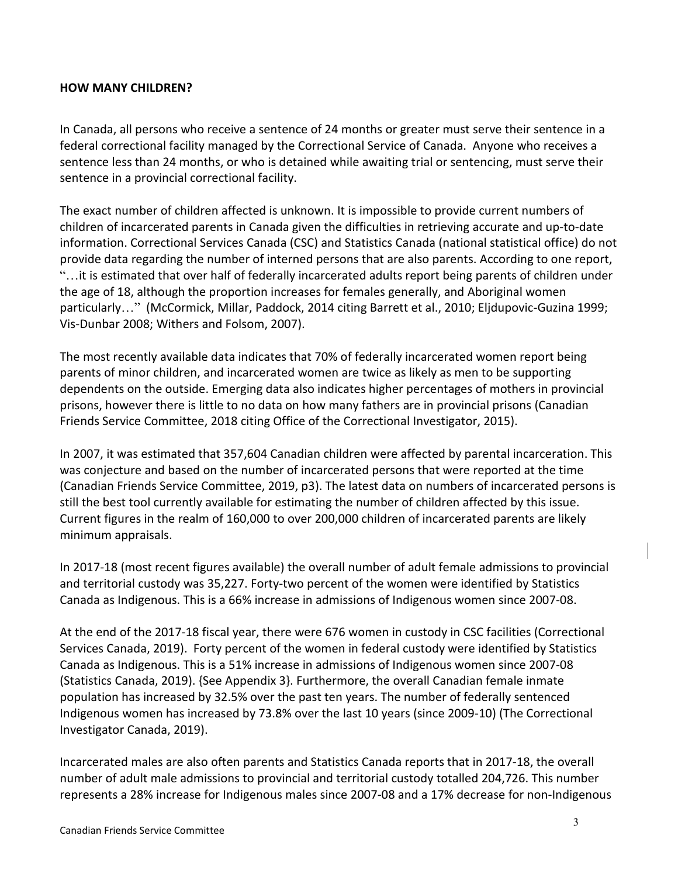### **HOW MANY CHILDREN?**

In Canada, all persons who receive a sentence of 24 months or greater must serve their sentence in a federal correctional facility managed by the Correctional Service of Canada. Anyone who receives a sentence less than 24 months, or who is detained while awaiting trial or sentencing, must serve their sentence in a provincial correctional facility.

The exact number of children affected is unknown. It is impossible to provide current numbers of children of incarcerated parents in Canada given the difficulties in retrieving accurate and up-to-date information. Correctional Services Canada (CSC) and Statistics Canada (national statistical office) do not provide data regarding the number of interned persons that are also parents. According to one report, "…it is estimated that over half of federally incarcerated adults report being parents of children under the age of 18, although the proportion increases for females generally, and Aboriginal women particularly…" (McCormick, Millar, Paddock, 2014 citing Barrett et al., 2010; Eljdupovic-Guzina 1999; Vis-Dunbar 2008; Withers and Folsom, 2007).

The most recently available data indicates that 70% of federally incarcerated women report being parents of minor children, and incarcerated women are twice as likely as men to be supporting dependents on the outside. Emerging data also indicates higher percentages of mothers in provincial prisons, however there is little to no data on how many fathers are in provincial prisons (Canadian Friends Service Committee, 2018 citing Office of the Correctional Investigator, 2015).

In 2007, it was estimated that 357,604 Canadian children were affected by parental incarceration. This was conjecture and based on the number of incarcerated persons that were reported at the time (Canadian Friends Service Committee, 2019, p3). The latest data on numbers of incarcerated persons is still the best tool currently available for estimating the number of children affected by this issue. Current figures in the realm of 160,000 to over 200,000 children of incarcerated parents are likely minimum appraisals.

In 2017-18 (most recent figures available) the overall number of adult female admissions to provincial and territorial custody was 35,227. Forty-two percent of the women were identified by Statistics Canada as Indigenous. This is a 66% increase in admissions of Indigenous women since 2007-08.

At the end of the 2017-18 fiscal year, there were 676 women in custody in CSC facilities (Correctional Services Canada, 2019). Forty percent of the women in federal custody were identified by Statistics Canada as Indigenous. This is a 51% increase in admissions of Indigenous women since 2007-08 (Statistics Canada, 2019). {See Appendix 3}. Furthermore, the overall Canadian female inmate population has increased by 32.5% over the past ten years. The number of federally sentenced Indigenous women has increased by 73.8% over the last 10 years (since 2009-10) (The Correctional Investigator Canada, 2019).

Incarcerated males are also often parents and Statistics Canada reports that in 2017-18, the overall number of adult male admissions to provincial and territorial custody totalled 204,726. This number represents a 28% increase for Indigenous males since 2007-08 and a 17% decrease for non-Indigenous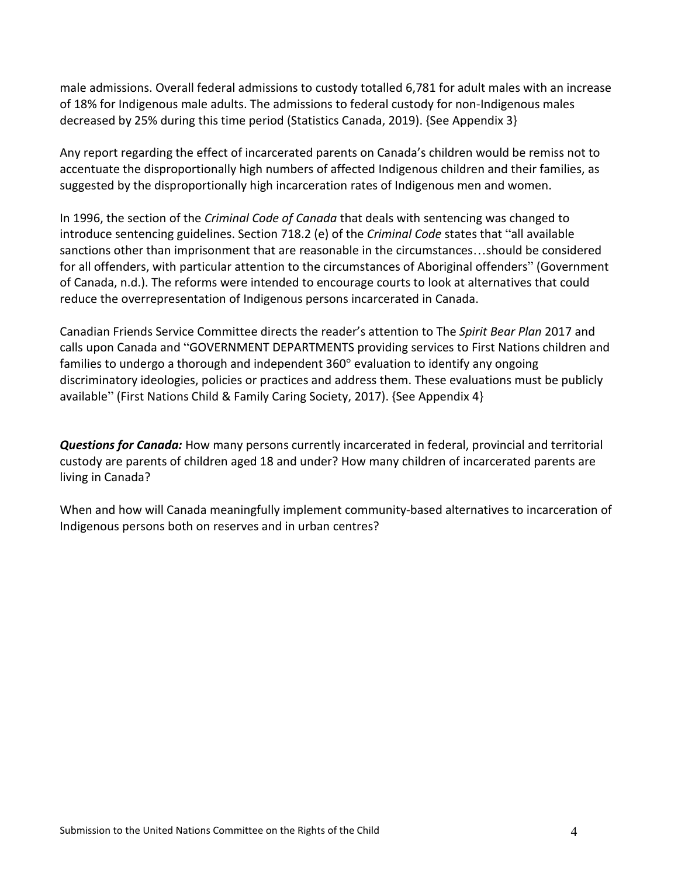male admissions. Overall federal admissions to custody totalled 6,781 for adult males with an increase of 18% for Indigenous male adults. The admissions to federal custody for non-Indigenous males decreased by 25% during this time period (Statistics Canada, 2019). {See Appendix 3}

Any report regarding the effect of incarcerated parents on Canada's children would be remiss not to accentuate the disproportionally high numbers of affected Indigenous children and their families, as suggested by the disproportionally high incarceration rates of Indigenous men and women.

In 1996, the section of the *Criminal Code of Canada* that deals with sentencing was changed to introduce sentencing guidelines. Section 718.2 (e) of the *Criminal Code* states that "all available sanctions other than imprisonment that are reasonable in the circumstances…should be considered for all offenders, with particular attention to the circumstances of Aboriginal offenders" (Government of Canada, n.d.). The reforms were intended to encourage courts to look at alternatives that could reduce the overrepresentation of Indigenous persons incarcerated in Canada.

Canadian Friends Service Committee directs the reader's attention to The *Spirit Bear Plan* 2017 and calls upon Canada and "GOVERNMENT DEPARTMENTS providing services to First Nations children and families to undergo a thorough and independent 360° evaluation to identify any ongoing discriminatory ideologies, policies or practices and address them. These evaluations must be publicly available" (First Nations Child & Family Caring Society, 2017). {See Appendix 4}

*Questions for Canada:* How many persons currently incarcerated in federal, provincial and territorial custody are parents of children aged 18 and under? How many children of incarcerated parents are living in Canada?

When and how will Canada meaningfully implement community-based alternatives to incarceration of Indigenous persons both on reserves and in urban centres?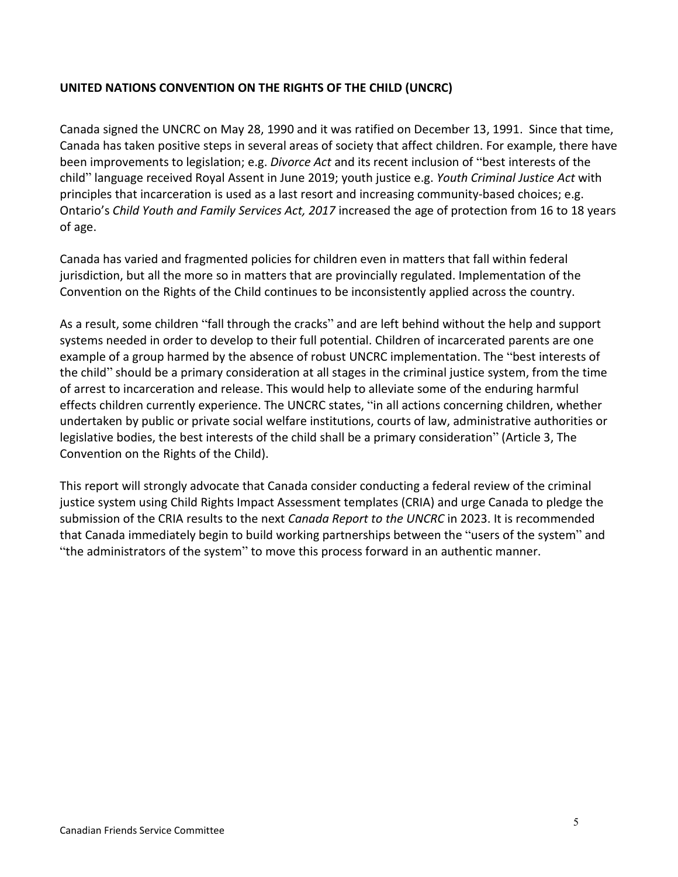## **UNITED NATIONS CONVENTION ON THE RIGHTS OF THE CHILD (UNCRC)**

Canada signed the UNCRC on May 28, 1990 and it was ratified on December 13, 1991. Since that time, Canada has taken positive steps in several areas of society that affect children. For example, there have been improvements to legislation; e.g. *Divorce Act* and its recent inclusion of "best interests of the child" language received Royal Assent in June 2019; youth justice e.g. *Youth Criminal Justice Act* with principles that incarceration is used as a last resort and increasing community-based choices; e.g. Ontario's *Child Youth and Family Services Act, 2017* increased the age of protection from 16 to 18 years of age.

Canada has varied and fragmented policies for children even in matters that fall within federal jurisdiction, but all the more so in matters that are provincially regulated. Implementation of the Convention on the Rights of the Child continues to be inconsistently applied across the country.

As a result, some children "fall through the cracks" and are left behind without the help and support systems needed in order to develop to their full potential. Children of incarcerated parents are one example of a group harmed by the absence of robust UNCRC implementation. The "best interests of the child" should be a primary consideration at all stages in the criminal justice system, from the time of arrest to incarceration and release. This would help to alleviate some of the enduring harmful effects children currently experience. The UNCRC states, "in all actions concerning children, whether undertaken by public or private social welfare institutions, courts of law, administrative authorities or legislative bodies, the best interests of the child shall be a primary consideration" (Article 3, The Convention on the Rights of the Child).

This report will strongly advocate that Canada consider conducting a federal review of the criminal justice system using Child Rights Impact Assessment templates (CRIA) and urge Canada to pledge the submission of the CRIA results to the next *Canada Report to the UNCRC* in 2023. It is recommended that Canada immediately begin to build working partnerships between the "users of the system" and "the administrators of the system" to move this process forward in an authentic manner.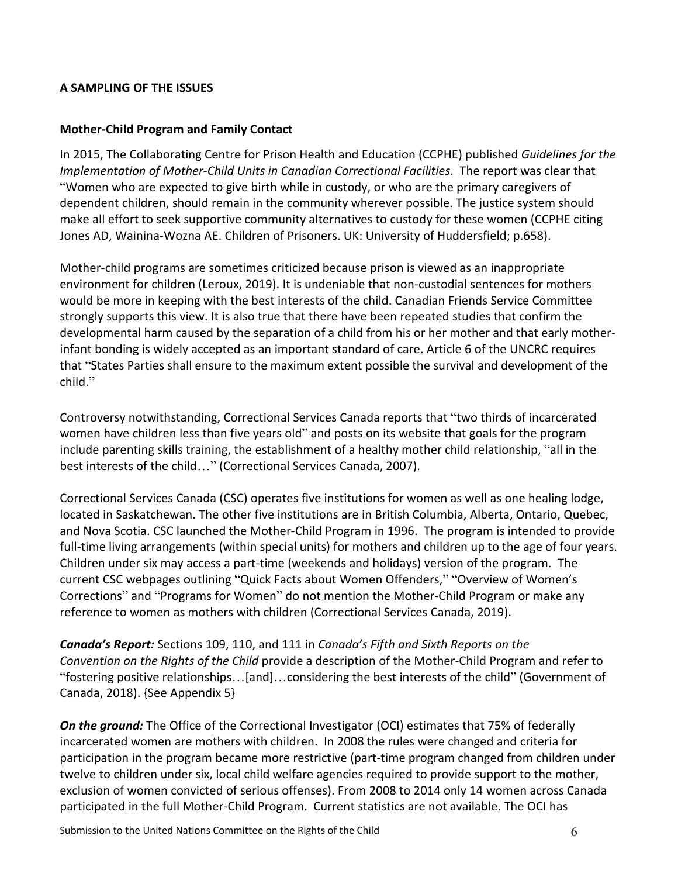## **A SAMPLING OF THE ISSUES**

### **Mother-Child Program and Family Contact**

In 2015, The Collaborating Centre for Prison Health and Education (CCPHE) published *Guidelines for the Implementation of Mother-Child Units in Canadian Correctional Facilities*. The report was clear that "Women who are expected to give birth while in custody, or who are the primary caregivers of dependent children, should remain in the community wherever possible. The justice system should make all effort to seek supportive community alternatives to custody for these women (CCPHE citing Jones AD, Wainina-Wozna AE. Children of Prisoners. UK: University of Huddersfield; p.658).

Mother-child programs are sometimes criticized because prison is viewed as an inappropriate environment for children (Leroux, 2019). It is undeniable that non-custodial sentences for mothers would be more in keeping with the best interests of the child. Canadian Friends Service Committee strongly supports this view. It is also true that there have been repeated studies that confirm the developmental harm caused by the separation of a child from his or her mother and that early motherinfant bonding is widely accepted as an important standard of care. Article 6 of the UNCRC requires that "States Parties shall ensure to the maximum extent possible the survival and development of the child."

Controversy notwithstanding, Correctional Services Canada reports that "two thirds of incarcerated women have children less than five years old" and posts on its website that goals for the program include parenting skills training, the establishment of a healthy mother child relationship, "all in the best interests of the child…" (Correctional Services Canada, 2007).

Correctional Services Canada (CSC) operates five institutions for women as well as one healing lodge, located in Saskatchewan. The other five institutions are in British Columbia, Alberta, Ontario, Quebec, and Nova Scotia. CSC launched the Mother-Child Program in 1996. The program is intended to provide full-time living arrangements (within special units) for mothers and children up to the age of four years. Children under six may access a part-time (weekends and holidays) version of the program. The current CSC webpages outlining "Quick Facts about Women Offenders," "Overview of Women's Corrections" and "Programs for Women" do not mention the Mother-Child Program or make any reference to women as mothers with children (Correctional Services Canada, 2019).

*Canada's Report:* Sections 109, 110, and 111 in *Canada's Fifth and Sixth Reports on the Convention on the Rights of the Child* provide a description of the Mother-Child Program and refer to "fostering positive relationships…[and]…considering the best interests of the child" (Government of Canada, 2018). {See Appendix 5}

*On the ground:* The Office of the Correctional Investigator (OCI) estimates that 75% of federally incarcerated women are mothers with children. In 2008 the rules were changed and criteria for participation in the program became more restrictive (part-time program changed from children under twelve to children under six, local child welfare agencies required to provide support to the mother, exclusion of women convicted of serious offenses). From 2008 to 2014 only 14 women across Canada participated in the full Mother-Child Program. Current statistics are not available. The OCI has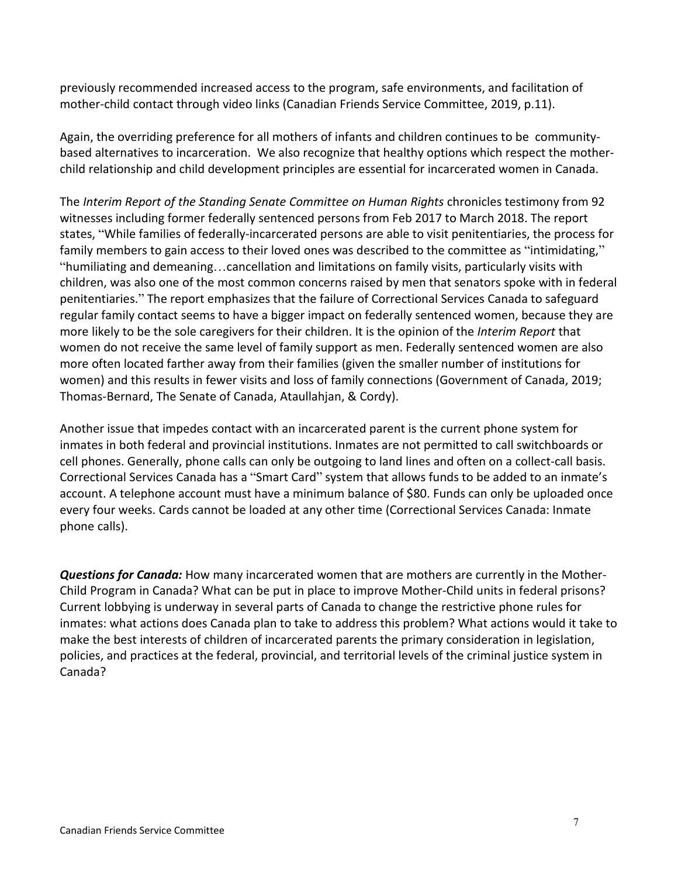previously recommended increased access to the program, safe environments, and facilitation of mother-child contact through video links (Canadian Friends Service Committee, 2019, p.11).

Again, the overriding preference for all mothers of infants and children continues to be communitybased alternatives to incarceration. We also recognize that healthy options which respect the motherchild relationship and child development principles are essential for incarcerated women in Canada.

The *Interim Report of the Standing Senate Committee on Human Rights* chronicles testimony from 92 witnesses including former federally sentenced persons from Feb 2017 to March 2018. The report states, "While families of federally-incarcerated persons are able to visit penitentiaries, the process for family members to gain access to their loved ones was described to the committee as "intimidating," "humiliating and demeaning…cancellation and limitations on family visits, particularly visits with children, was also one of the most common concerns raised by men that senators spoke with in federal penitentiaries." The report emphasizes that the failure of Correctional Services Canada to safeguard regular family contact seems to have a bigger impact on federally sentenced women, because they are more likely to be the sole caregivers for their children. It is the opinion of the *Interim Report* that women do not receive the same level of family support as men. Federally sentenced women are also more often located farther away from their families (given the smaller number of institutions for women) and this results in fewer visits and loss of family connections (Government of Canada, 2019; Thomas-Bernard, The Senate of Canada, Ataullahjan, & Cordy).

Another issue that impedes contact with an incarcerated parent is the current phone system for inmates in both federal and provincial institutions. Inmates are not permitted to call switchboards or cell phones. Generally, phone calls can only be outgoing to land lines and often on a collect-call basis. Correctional Services Canada has a "Smart Card" system that allows funds to be added to an inmate's account. A telephone account must have a minimum balance of \$80. Funds can only be uploaded once every four weeks. Cards cannot be loaded at any other time (Correctional Services Canada: Inmate phone calls).

*Questions for Canada:* How many incarcerated women that are mothers are currently in the Mother-Child Program in Canada? What can be put in place to improve Mother-Child units in federal prisons? Current lobbying is underway in several parts of Canada to change the restrictive phone rules for inmates: what actions does Canada plan to take to address this problem? What actions would it take to make the best interests of children of incarcerated parents the primary consideration in legislation, policies, and practices at the federal, provincial, and territorial levels of the criminal justice system in Canada?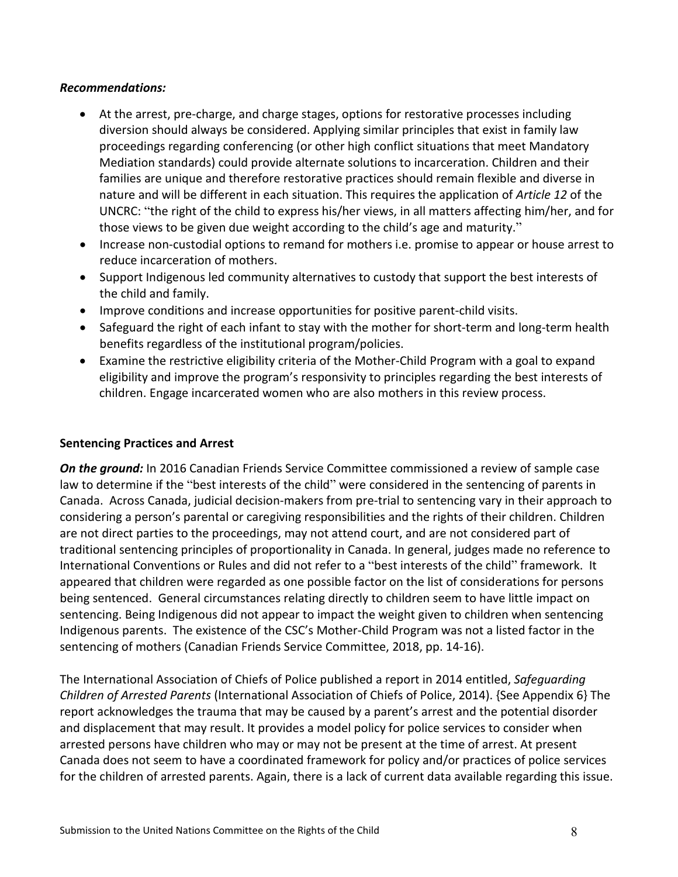### *Recommendations:*

- At the arrest, pre-charge, and charge stages, options for restorative processes including diversion should always be considered. Applying similar principles that exist in family law proceedings regarding conferencing (or other high conflict situations that meet Mandatory Mediation standards) could provide alternate solutions to incarceration. Children and their families are unique and therefore restorative practices should remain flexible and diverse in nature and will be different in each situation. This requires the application of *Article 12* of the UNCRC: "the right of the child to express his/her views, in all matters affecting him/her, and for those views to be given due weight according to the child's age and maturity."
- Increase non-custodial options to remand for mothers i.e. promise to appear or house arrest to reduce incarceration of mothers.
- Support Indigenous led community alternatives to custody that support the best interests of the child and family.
- Improve conditions and increase opportunities for positive parent-child visits.
- Safeguard the right of each infant to stay with the mother for short-term and long-term health benefits regardless of the institutional program/policies.
- Examine the restrictive eligibility criteria of the Mother-Child Program with a goal to expand eligibility and improve the program's responsivity to principles regarding the best interests of children. Engage incarcerated women who are also mothers in this review process.

### **Sentencing Practices and Arrest**

**On the ground:** In 2016 Canadian Friends Service Committee commissioned a review of sample case law to determine if the "best interests of the child" were considered in the sentencing of parents in Canada. Across Canada, judicial decision-makers from pre-trial to sentencing vary in their approach to considering a person's parental or caregiving responsibilities and the rights of their children. Children are not direct parties to the proceedings, may not attend court, and are not considered part of traditional sentencing principles of proportionality in Canada. In general, judges made no reference to International Conventions or Rules and did not refer to a "best interests of the child" framework. It appeared that children were regarded as one possible factor on the list of considerations for persons being sentenced. General circumstances relating directly to children seem to have little impact on sentencing. Being Indigenous did not appear to impact the weight given to children when sentencing Indigenous parents. The existence of the CSC's Mother-Child Program was not a listed factor in the sentencing of mothers (Canadian Friends Service Committee, 2018, pp. 14-16).

The International Association of Chiefs of Police published a report in 2014 entitled, *Safeguarding Children of Arrested Parents* (International Association of Chiefs of Police, 2014). {See Appendix 6} The report acknowledges the trauma that may be caused by a parent's arrest and the potential disorder and displacement that may result. It provides a model policy for police services to consider when arrested persons have children who may or may not be present at the time of arrest. At present Canada does not seem to have a coordinated framework for policy and/or practices of police services for the children of arrested parents. Again, there is a lack of current data available regarding this issue.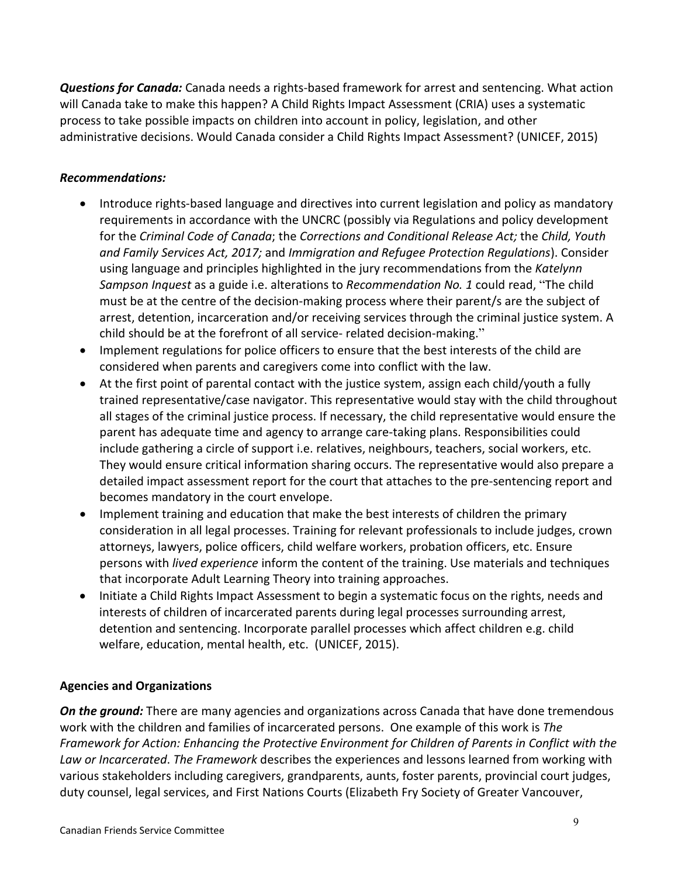*Questions for Canada:* Canada needs a rights-based framework for arrest and sentencing. What action will Canada take to make this happen? A Child Rights Impact Assessment (CRIA) uses a systematic process to take possible impacts on children into account in policy, legislation, and other administrative decisions. Would Canada consider a Child Rights Impact Assessment? (UNICEF, 2015)

## *Recommendations:*

- Introduce rights-based language and directives into current legislation and policy as mandatory requirements in accordance with the UNCRC (possibly via Regulations and policy development for the *Criminal Code of Canada*; the *Corrections and Conditional Release Act;* the *Child, Youth and Family Services Act, 2017;* and *Immigration and Refugee Protection Regulations*). Consider using language and principles highlighted in the jury recommendations from the *Katelynn Sampson Inquest* as a guide i.e. alterations to *Recommendation No. 1* could read, "The child must be at the centre of the decision-making process where their parent/s are the subject of arrest, detention, incarceration and/or receiving services through the criminal justice system. A child should be at the forefront of all service- related decision-making."
- Implement regulations for police officers to ensure that the best interests of the child are considered when parents and caregivers come into conflict with the law.
- At the first point of parental contact with the justice system, assign each child/youth a fully trained representative/case navigator. This representative would stay with the child throughout all stages of the criminal justice process. If necessary, the child representative would ensure the parent has adequate time and agency to arrange care-taking plans. Responsibilities could include gathering a circle of support i.e. relatives, neighbours, teachers, social workers, etc. They would ensure critical information sharing occurs. The representative would also prepare a detailed impact assessment report for the court that attaches to the pre-sentencing report and becomes mandatory in the court envelope.
- Implement training and education that make the best interests of children the primary consideration in all legal processes. Training for relevant professionals to include judges, crown attorneys, lawyers, police officers, child welfare workers, probation officers, etc. Ensure persons with *lived experience* inform the content of the training. Use materials and techniques that incorporate Adult Learning Theory into training approaches.
- Initiate a Child Rights Impact Assessment to begin a systematic focus on the rights, needs and interests of children of incarcerated parents during legal processes surrounding arrest, detention and sentencing. Incorporate parallel processes which affect children e.g. child welfare, education, mental health, etc. (UNICEF, 2015).

## **Agencies and Organizations**

*On the ground:* There are many agencies and organizations across Canada that have done tremendous work with the children and families of incarcerated persons. One example of this work is *The Framework for Action: Enhancing the Protective Environment for Children of Parents in Conflict with the Law or Incarcerated*. *The Framework* describes the experiences and lessons learned from working with various stakeholders including caregivers, grandparents, aunts, foster parents, provincial court judges, duty counsel, legal services, and First Nations Courts (Elizabeth Fry Society of Greater Vancouver,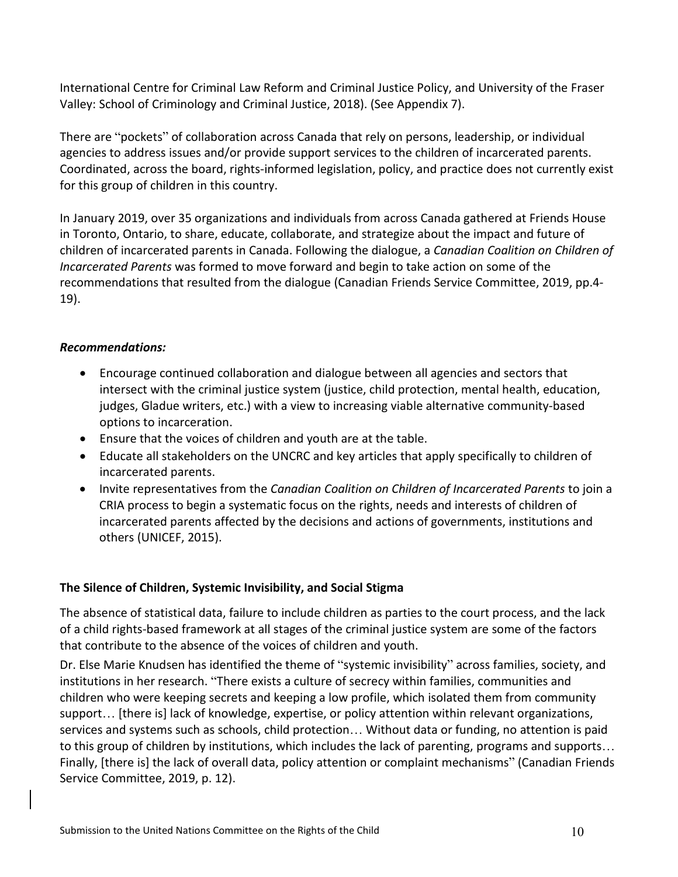International Centre for Criminal Law Reform and Criminal Justice Policy, and University of the Fraser Valley: School of Criminology and Criminal Justice, 2018). (See Appendix 7).

There are "pockets" of collaboration across Canada that rely on persons, leadership, or individual agencies to address issues and/or provide support services to the children of incarcerated parents. Coordinated, across the board, rights-informed legislation, policy, and practice does not currently exist for this group of children in this country.

In January 2019, over 35 organizations and individuals from across Canada gathered at Friends House in Toronto, Ontario, to share, educate, collaborate, and strategize about the impact and future of children of incarcerated parents in Canada. Following the dialogue, a *Canadian Coalition on Children of Incarcerated Parents* was formed to move forward and begin to take action on some of the recommendations that resulted from the dialogue (Canadian Friends Service Committee, 2019, pp.4- 19).

## *Recommendations:*

- Encourage continued collaboration and dialogue between all agencies and sectors that intersect with the criminal justice system (justice, child protection, mental health, education, judges, Gladue writers, etc.) with a view to increasing viable alternative community-based options to incarceration.
- Ensure that the voices of children and youth are at the table.
- Educate all stakeholders on the UNCRC and key articles that apply specifically to children of incarcerated parents.
- Invite representatives from the *Canadian Coalition on Children of Incarcerated Parents* to join a CRIA process to begin a systematic focus on the rights, needs and interests of children of incarcerated parents affected by the decisions and actions of governments, institutions and others (UNICEF, 2015).

### **The Silence of Children, Systemic Invisibility, and Social Stigma**

The absence of statistical data, failure to include children as parties to the court process, and the lack of a child rights-based framework at all stages of the criminal justice system are some of the factors that contribute to the absence of the voices of children and youth.

Dr. Else Marie Knudsen has identified the theme of "systemic invisibility" across families, society, and institutions in her research. "There exists a culture of secrecy within families, communities and children who were keeping secrets and keeping a low profile, which isolated them from community support… [there is] lack of knowledge, expertise, or policy attention within relevant organizations, services and systems such as schools, child protection… Without data or funding, no attention is paid to this group of children by institutions, which includes the lack of parenting, programs and supports… Finally, [there is] the lack of overall data, policy attention or complaint mechanisms" (Canadian Friends Service Committee, 2019, p. 12).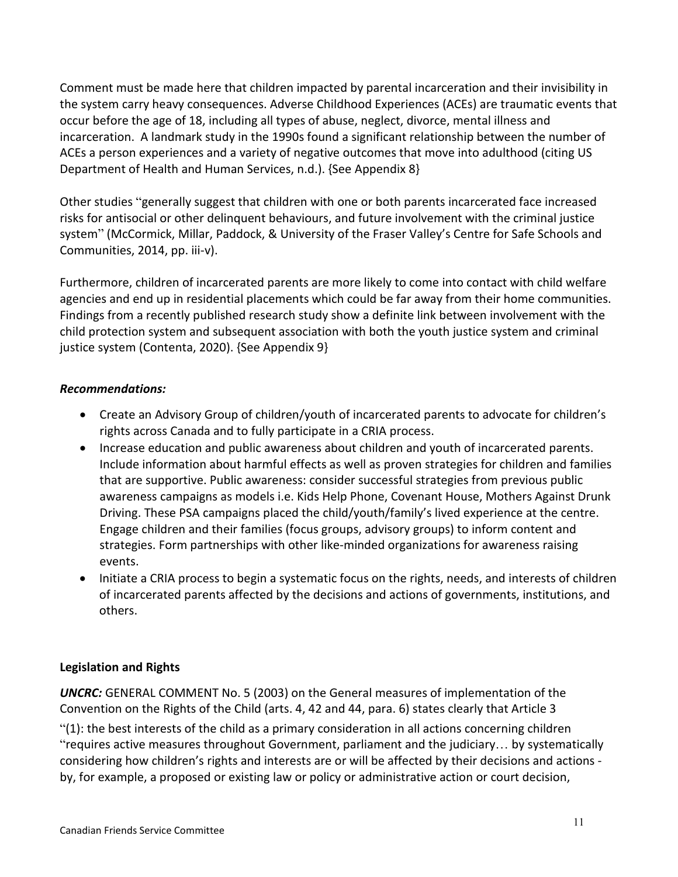Comment must be made here that children impacted by parental incarceration and their invisibility in the system carry heavy consequences. Adverse Childhood Experiences (ACEs) are traumatic events that occur before the age of 18, including all types of abuse, neglect, divorce, mental illness and incarceration. A landmark study in the 1990s found a significant relationship between the number of ACEs a person experiences and a variety of negative outcomes that move into adulthood (citing US Department of Health and Human Services, n.d.). {See Appendix 8}

Other studies "generally suggest that children with one or both parents incarcerated face increased risks for antisocial or other delinquent behaviours, and future involvement with the criminal justice system" (McCormick, Millar, Paddock, & University of the Fraser Valley's Centre for Safe Schools and Communities, 2014, pp. iii-v).

Furthermore, children of incarcerated parents are more likely to come into contact with child welfare agencies and end up in residential placements which could be far away from their home communities. Findings from a recently published research study show a definite link between involvement with the child protection system and subsequent association with both the youth justice system and criminal justice system (Contenta, 2020). {See Appendix 9}

## *Recommendations:*

- Create an Advisory Group of children/youth of incarcerated parents to advocate for children's rights across Canada and to fully participate in a CRIA process.
- Increase education and public awareness about children and youth of incarcerated parents. Include information about harmful effects as well as proven strategies for children and families that are supportive. Public awareness: consider successful strategies from previous public awareness campaigns as models i.e. Kids Help Phone, Covenant House, Mothers Against Drunk Driving. These PSA campaigns placed the child/youth/family's lived experience at the centre. Engage children and their families (focus groups, advisory groups) to inform content and strategies. Form partnerships with other like-minded organizations for awareness raising events.
- Initiate a CRIA process to begin a systematic focus on the rights, needs, and interests of children of incarcerated parents affected by the decisions and actions of governments, institutions, and others.

## **Legislation and Rights**

*UNCRC:* GENERAL COMMENT No. 5 (2003) on the General measures of implementation of the Convention on the Rights of the Child (arts. 4, 42 and 44, para. 6) states clearly that Article 3 "(1): the best interests of the child as a primary consideration in all actions concerning children "requires active measures throughout Government, parliament and the judiciary… by systematically considering how children's rights and interests are or will be affected by their decisions and actions by, for example, a proposed or existing law or policy or administrative action or court decision,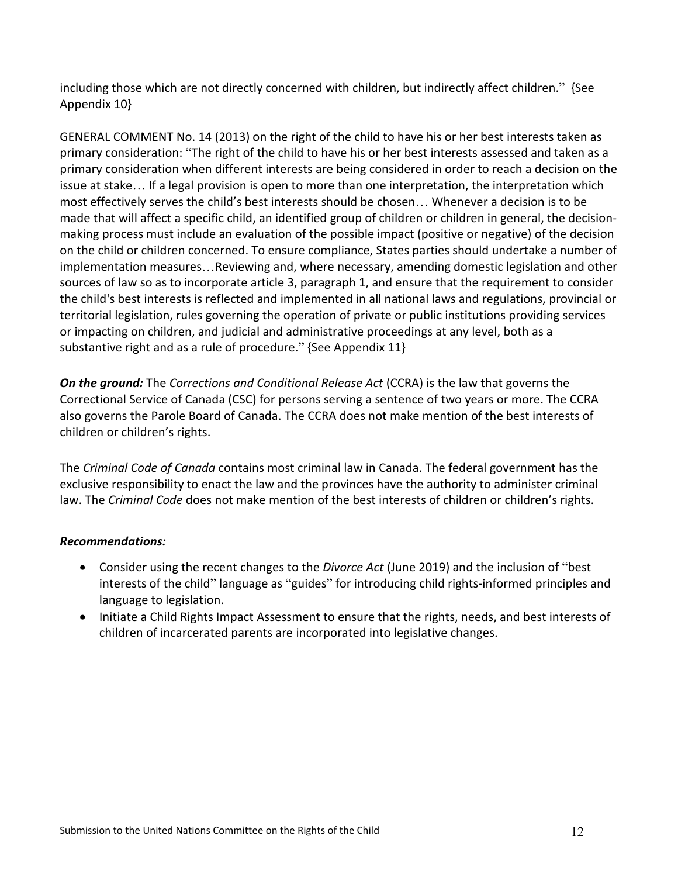including those which are not directly concerned with children, but indirectly affect children." {See Appendix 10}

GENERAL COMMENT No. 14 (2013) on the right of the child to have his or her best interests taken as primary consideration: "The right of the child to have his or her best interests assessed and taken as a primary consideration when different interests are being considered in order to reach a decision on the issue at stake… If a legal provision is open to more than one interpretation, the interpretation which most effectively serves the child's best interests should be chosen… Whenever a decision is to be made that will affect a specific child, an identified group of children or children in general, the decisionmaking process must include an evaluation of the possible impact (positive or negative) of the decision on the child or children concerned. To ensure compliance, States parties should undertake a number of implementation measures…Reviewing and, where necessary, amending domestic legislation and other sources of law so as to incorporate article 3, paragraph 1, and ensure that the requirement to consider the child's best interests is reflected and implemented in all national laws and regulations, provincial or territorial legislation, rules governing the operation of private or public institutions providing services or impacting on children, and judicial and administrative proceedings at any level, both as a substantive right and as a rule of procedure." {See Appendix 11}

*On the ground:* The *Corrections and Conditional Release Act* (CCRA) is the law that governs the Correctional Service of Canada (CSC) for persons serving a sentence of two years or more. The CCRA also governs the Parole Board of Canada. The CCRA does not make mention of the best interests of children or children's rights.

The *Criminal Code of Canada* contains most criminal law in Canada. The federal government has the exclusive responsibility to enact the law and the provinces have the authority to administer criminal law. The *Criminal Code* does not make mention of the best interests of children or children's rights.

## *Recommendations:*

- Consider using the recent changes to the *Divorce Act* (June 2019) and the inclusion of "best interests of the child" language as "guides" for introducing child rights-informed principles and language to legislation.
- Initiate a Child Rights Impact Assessment to ensure that the rights, needs, and best interests of children of incarcerated parents are incorporated into legislative changes.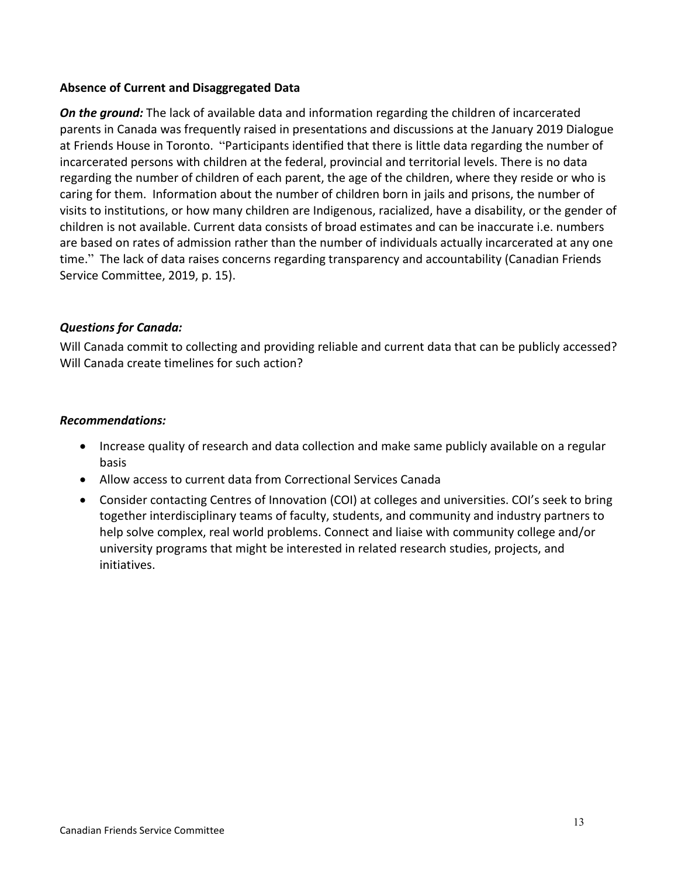### **Absence of Current and Disaggregated Data**

*On the ground:* The lack of available data and information regarding the children of incarcerated parents in Canada was frequently raised in presentations and discussions at the January 2019 Dialogue at Friends House in Toronto. "Participants identified that there is little data regarding the number of incarcerated persons with children at the federal, provincial and territorial levels. There is no data regarding the number of children of each parent, the age of the children, where they reside or who is caring for them. Information about the number of children born in jails and prisons, the number of visits to institutions, or how many children are Indigenous, racialized, have a disability, or the gender of children is not available. Current data consists of broad estimates and can be inaccurate i.e. numbers are based on rates of admission rather than the number of individuals actually incarcerated at any one time." The lack of data raises concerns regarding transparency and accountability (Canadian Friends Service Committee, 2019, p. 15).

## *Questions for Canada:*

Will Canada commit to collecting and providing reliable and current data that can be publicly accessed? Will Canada create timelines for such action?

### *Recommendations:*

- Increase quality of research and data collection and make same publicly available on a regular basis
- Allow access to current data from Correctional Services Canada
- Consider contacting Centres of Innovation (COI) at colleges and universities. COI's seek to bring together interdisciplinary teams of faculty, students, and community and industry partners to help solve complex, real world problems. Connect and liaise with community college and/or university programs that might be interested in related research studies, projects, and initiatives.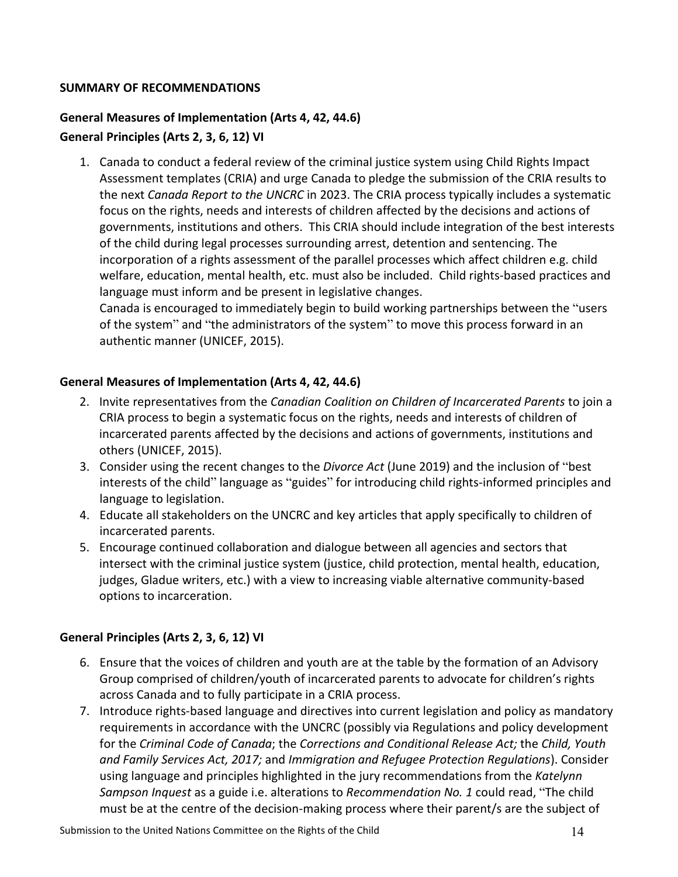## **SUMMARY OF RECOMMENDATIONS**

# **General Measures of Implementation (Arts 4, 42, 44.6) General Principles (Arts 2, 3, 6, 12) VI**

1. Canada to conduct a federal review of the criminal justice system using Child Rights Impact Assessment templates (CRIA) and urge Canada to pledge the submission of the CRIA results to the next *Canada Report to the UNCRC* in 2023. The CRIA process typically includes a systematic focus on the rights, needs and interests of children affected by the decisions and actions of governments, institutions and others. This CRIA should include integration of the best interests of the child during legal processes surrounding arrest, detention and sentencing. The incorporation of a rights assessment of the parallel processes which affect children e.g. child welfare, education, mental health, etc. must also be included. Child rights-based practices and language must inform and be present in legislative changes.

Canada is encouraged to immediately begin to build working partnerships between the "users of the system" and "the administrators of the system" to move this process forward in an authentic manner (UNICEF, 2015).

## **General Measures of Implementation (Arts 4, 42, 44.6)**

- 2. Invite representatives from the *Canadian Coalition on Children of Incarcerated Parents* to join a CRIA process to begin a systematic focus on the rights, needs and interests of children of incarcerated parents affected by the decisions and actions of governments, institutions and others (UNICEF, 2015).
- 3. Consider using the recent changes to the *Divorce Act* (June 2019) and the inclusion of "best interests of the child" language as "guides" for introducing child rights-informed principles and language to legislation.
- 4. Educate all stakeholders on the UNCRC and key articles that apply specifically to children of incarcerated parents.
- 5. Encourage continued collaboration and dialogue between all agencies and sectors that intersect with the criminal justice system (justice, child protection, mental health, education, judges, Gladue writers, etc.) with a view to increasing viable alternative community-based options to incarceration.

### **General Principles (Arts 2, 3, 6, 12) VI**

- 6. Ensure that the voices of children and youth are at the table by the formation of an Advisory Group comprised of children/youth of incarcerated parents to advocate for children's rights across Canada and to fully participate in a CRIA process.
- 7. Introduce rights-based language and directives into current legislation and policy as mandatory requirements in accordance with the UNCRC (possibly via Regulations and policy development for the *Criminal Code of Canada*; the *Corrections and Conditional Release Act;* the *Child, Youth and Family Services Act, 2017;* and *Immigration and Refugee Protection Regulations*). Consider using language and principles highlighted in the jury recommendations from the *Katelynn Sampson Inquest* as a guide i.e. alterations to *Recommendation No. 1* could read, "The child must be at the centre of the decision-making process where their parent/s are the subject of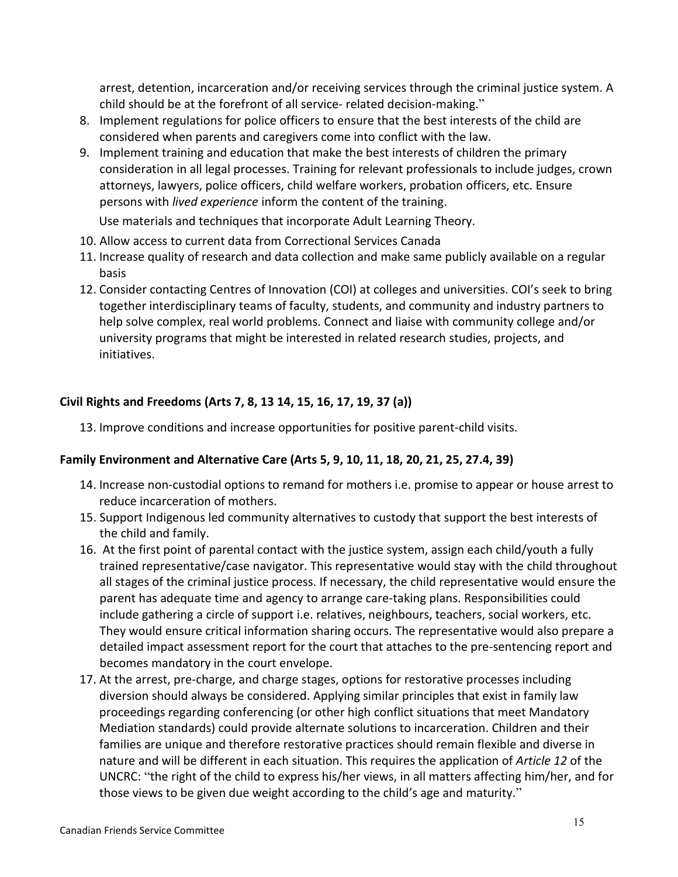arrest, detention, incarceration and/or receiving services through the criminal justice system. A child should be at the forefront of all service- related decision-making."

- 8. Implement regulations for police officers to ensure that the best interests of the child are considered when parents and caregivers come into conflict with the law.
- 9. Implement training and education that make the best interests of children the primary consideration in all legal processes. Training for relevant professionals to include judges, crown attorneys, lawyers, police officers, child welfare workers, probation officers, etc. Ensure persons with *lived experience* inform the content of the training.

Use materials and techniques that incorporate Adult Learning Theory.

- 10. Allow access to current data from Correctional Services Canada
- 11. Increase quality of research and data collection and make same publicly available on a regular basis
- 12. Consider contacting Centres of Innovation (COI) at colleges and universities. COI's seek to bring together interdisciplinary teams of faculty, students, and community and industry partners to help solve complex, real world problems. Connect and liaise with community college and/or university programs that might be interested in related research studies, projects, and initiatives.

# **Civil Rights and Freedoms (Arts 7, 8, 13 14, 15, 16, 17, 19, 37 (a))**

13. Improve conditions and increase opportunities for positive parent-child visits.

## **Family Environment and Alternative Care (Arts 5, 9, 10, 11, 18, 20, 21, 25, 27.4, 39)**

- 14. Increase non-custodial options to remand for mothers i.e. promise to appear or house arrest to reduce incarceration of mothers.
- 15. Support Indigenous led community alternatives to custody that support the best interests of the child and family.
- 16. At the first point of parental contact with the justice system, assign each child/youth a fully trained representative/case navigator. This representative would stay with the child throughout all stages of the criminal justice process. If necessary, the child representative would ensure the parent has adequate time and agency to arrange care-taking plans. Responsibilities could include gathering a circle of support i.e. relatives, neighbours, teachers, social workers, etc. They would ensure critical information sharing occurs. The representative would also prepare a detailed impact assessment report for the court that attaches to the pre-sentencing report and becomes mandatory in the court envelope.
- 17. At the arrest, pre-charge, and charge stages, options for restorative processes including diversion should always be considered. Applying similar principles that exist in family law proceedings regarding conferencing (or other high conflict situations that meet Mandatory Mediation standards) could provide alternate solutions to incarceration. Children and their families are unique and therefore restorative practices should remain flexible and diverse in nature and will be different in each situation. This requires the application of *Article 12* of the UNCRC: "the right of the child to express his/her views, in all matters affecting him/her, and for those views to be given due weight according to the child's age and maturity."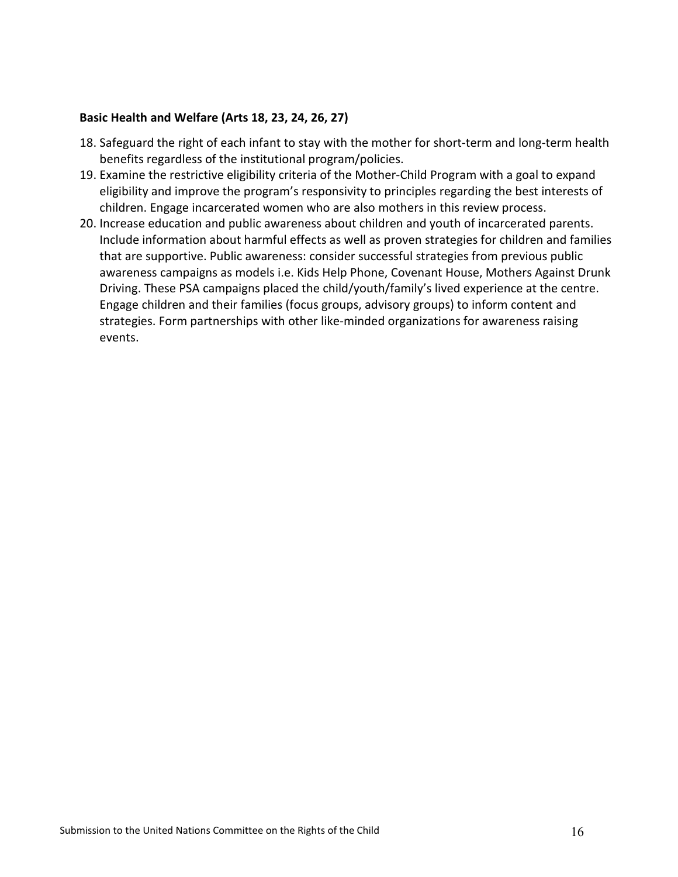#### **Basic Health and Welfare (Arts 18, 23, 24, 26, 27)**

- 18. Safeguard the right of each infant to stay with the mother for short-term and long-term health benefits regardless of the institutional program/policies.
- 19. Examine the restrictive eligibility criteria of the Mother-Child Program with a goal to expand eligibility and improve the program's responsivity to principles regarding the best interests of children. Engage incarcerated women who are also mothers in this review process.
- 20. Increase education and public awareness about children and youth of incarcerated parents. Include information about harmful effects as well as proven strategies for children and families that are supportive. Public awareness: consider successful strategies from previous public awareness campaigns as models i.e. Kids Help Phone, Covenant House, Mothers Against Drunk Driving. These PSA campaigns placed the child/youth/family's lived experience at the centre. Engage children and their families (focus groups, advisory groups) to inform content and strategies. Form partnerships with other like-minded organizations for awareness raising events.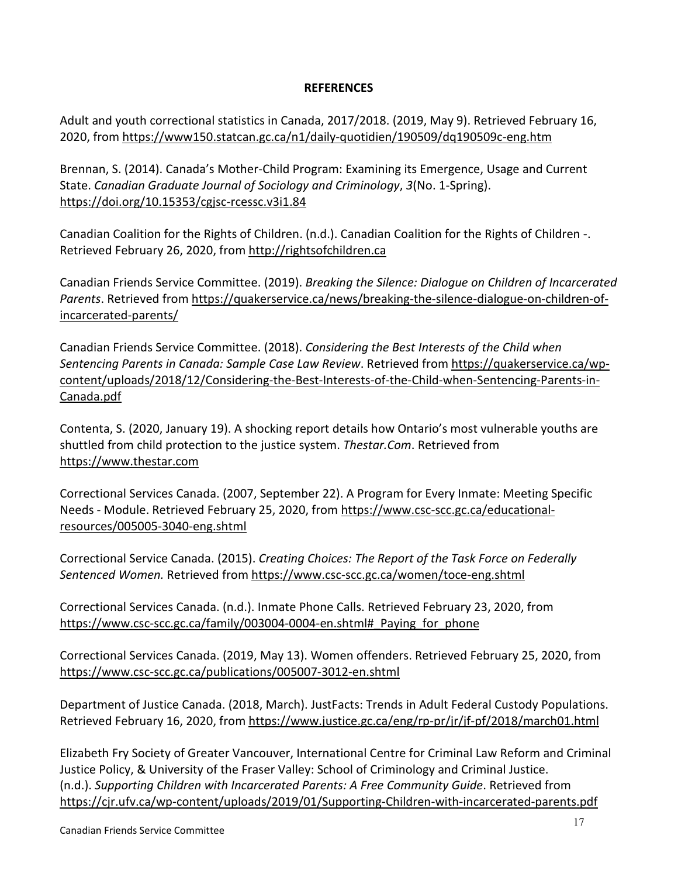## **REFERENCES**

Adult and youth correctional statistics in Canada, 2017/2018. (2019, May 9). Retrieved February 16, 2020, from https://www150.statcan.gc.ca/n1/daily-quotidien/190509/dq190509c-eng.htm

Brennan, S. (2014). Canada's Mother-Child Program: Examining its Emergence, Usage and Current State. *Canadian Graduate Journal of Sociology and Criminology*, *3*(No. 1-Spring). <https://doi.org/10.15353/cgjsc-rcessc.v3i1.84>

Canadian Coalition for the Rights of Children. (n.d.). Canadian Coalition for the Rights of Children -. Retrieved February 26, 2020, from http://rightsofchildren.ca

Canadian Friends Service Committee. (2019). *Breaking the Silence: Dialogue on Children of Incarcerated Parents*. Retrieved from https://quakerservice.ca/news/breaking-the-silence-dialogue-on-children-ofincarcerated-parents/

Canadian Friends Service Committee. (2018). *Considering the Best Interests of the Child when Sentencing Parents in Canada: Sample Case Law Review*. Retrieved from https://quakerservice.ca/wpcontent/uploads/2018/12/Considering-the-Best-Interests-of-the-Child-when-Sentencing-Parents-in-Canada.pdf

Contenta, S. (2020, January 19). A shocking report details how Ontario's most vulnerable youths are shuttled from child protection to the justice system. *Thestar.Com*. Retrieved from https://www.thestar.com

Correctional Services Canada. (2007, September 22). A Program for Every Inmate: Meeting Specific Needs - Module. Retrieved February 25, 2020, from https://www.csc-scc.gc.ca/educationalresources/005005-3040-eng.shtml

Correctional Service Canada. (2015). *Creating Choices: The Report of the Task Force on Federally Sentenced Women.* Retrieved from<https://www.csc-scc.gc.ca/women/toce-eng.shtml>

Correctional Services Canada. (n.d.). Inmate Phone Calls. Retrieved February 23, 2020, from [https://www.csc-scc.gc.ca/family/003004-0004-en.shtml#\\_Paying\\_for\\_phone](https://www.csc-scc.gc.ca/family/003004-0004-en.shtml#_Paying_for_phone)

Correctional Services Canada. (2019, May 13). Women offenders. Retrieved February 25, 2020, from https://www.csc-scc.gc.ca/publications/005007-3012-en.shtml

Department of Justice Canada. (2018, March). JustFacts: Trends in Adult Federal Custody Populations. Retrieved February 16, 2020, from<https://www.justice.gc.ca/eng/rp-pr/jr/jf-pf/2018/march01.html>

Elizabeth Fry Society of Greater Vancouver, International Centre for Criminal Law Reform and Criminal Justice Policy, & University of the Fraser Valley: School of Criminology and Criminal Justice. (n.d.). *Supporting Children with Incarcerated Parents: A Free Community Guide*. Retrieved from <https://cjr.ufv.ca/wp-content/uploads/2019/01/Supporting-Children-with-incarcerated-parents.pdf>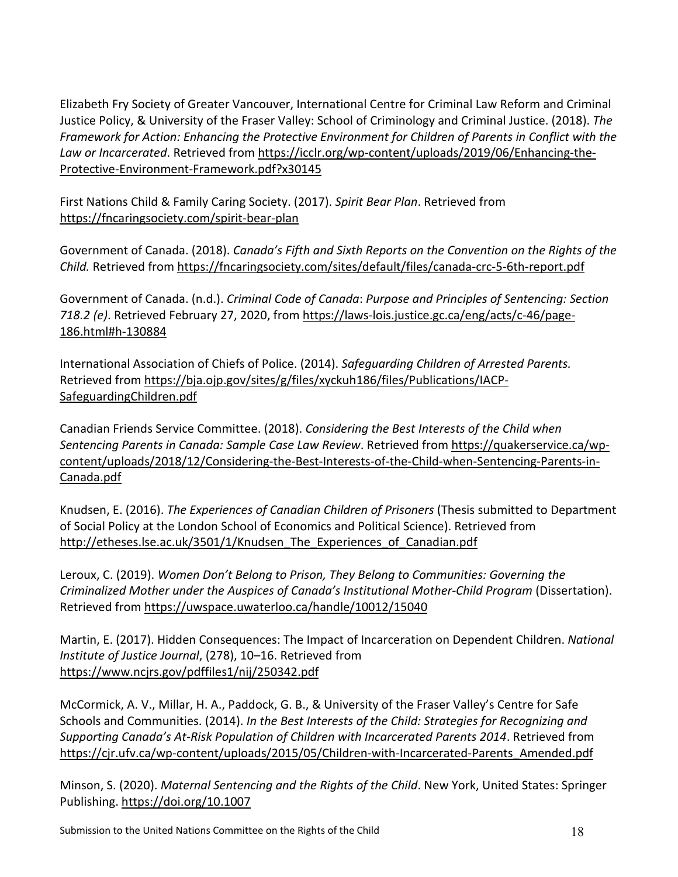Elizabeth Fry Society of Greater Vancouver, International Centre for Criminal Law Reform and Criminal Justice Policy, & University of the Fraser Valley: School of Criminology and Criminal Justice. (2018). *The Framework for Action: Enhancing the Protective Environment for Children of Parents in Conflict with the Law or Incarcerated*. Retrieved from [https://icclr.org/wp-content/uploads/2019/06/Enhancing-the-](https://icclr.org/wp-content/uploads/2019/06/Enhancing-the-Protective-Environment-Framework.pdf?x30145)[Protective-Environment-Framework.pdf?x30145](https://icclr.org/wp-content/uploads/2019/06/Enhancing-the-Protective-Environment-Framework.pdf?x30145)

First Nations Child & Family Caring Society. (2017). *Spirit Bear Plan*. Retrieved from https://fncaringsociety.com/spirit-bear-plan

Government of Canada. (2018). *Canada's Fifth and Sixth Reports on the Convention on the Rights of the Child.* Retrieved from https://fncaringsociety.com/sites/default/files/canada-crc-5-6th-report.pdf

Government of Canada. (n.d.). *Criminal Code of Canada*: *Purpose and Principles of Sentencing: Section 718.2 (e)*. Retrieved February 27, 2020, from https://laws-lois.justice.gc.ca/eng/acts/c-46/page-186.html#h-130884

International Association of Chiefs of Police. (2014). *Safeguarding Children of Arrested Parents.* Retrieved from https://bja.ojp.gov/sites/g/files/xyckuh186/files/Publications/IACP-SafeguardingChildren.pdf

Canadian Friends Service Committee. (2018). *Considering the Best Interests of the Child when Sentencing Parents in Canada: Sample Case Law Review*. Retrieved fro[m https://quakerservice.ca/wp](https://quakerservice.ca/wp-content/uploads/2018/12/Considering-the-Best-Interests-of-the-Child-when-Sentencing-Parents-in-Canada.pdf)[content/uploads/2018/12/Considering-the-Best-Interests-of-the-Child-when-Sentencing-Parents-in-](https://quakerservice.ca/wp-content/uploads/2018/12/Considering-the-Best-Interests-of-the-Child-when-Sentencing-Parents-in-Canada.pdf)[Canada.pdf](https://quakerservice.ca/wp-content/uploads/2018/12/Considering-the-Best-Interests-of-the-Child-when-Sentencing-Parents-in-Canada.pdf)

Knudsen, E. (2016). *The Experiences of Canadian Children of Prisoners* (Thesis submitted to Department of Social Policy at the London School of Economics and Political Science). Retrieved from http://etheses.lse.ac.uk/3501/1/Knudsen\_The\_Experiences\_of\_Canadian.pdf

Leroux, C. (2019). *Women Don't Belong to Prison, They Belong to Communities: Governing the Criminalized Mother under the Auspices of Canada's Institutional Mother-Child Program* (Dissertation). Retrieved from https://uwspace.uwaterloo.ca/handle/10012/15040

Martin, E. (2017). Hidden Consequences: The Impact of Incarceration on Dependent Children. *National Institute of Justice Journal*, (278), 10–16. Retrieved from https://www.ncjrs.gov/pdffiles1/nij/250342.pdf

McCormick, A. V., Millar, H. A., Paddock, G. B., & University of the Fraser Valley's Centre for Safe Schools and Communities. (2014). *In the Best Interests of the Child: Strategies for Recognizing and Supporting Canada's At-Risk Population of Children with Incarcerated Parents 2014*. Retrieved from https://cjr.ufv.ca/wp-content/uploads/2015/05/Children-with-Incarcerated-Parents\_Amended.pdf

Minson, S. (2020). *Maternal Sentencing and the Rights of the Child*. New York, United States: Springer Publishing. https://doi.org/10.1007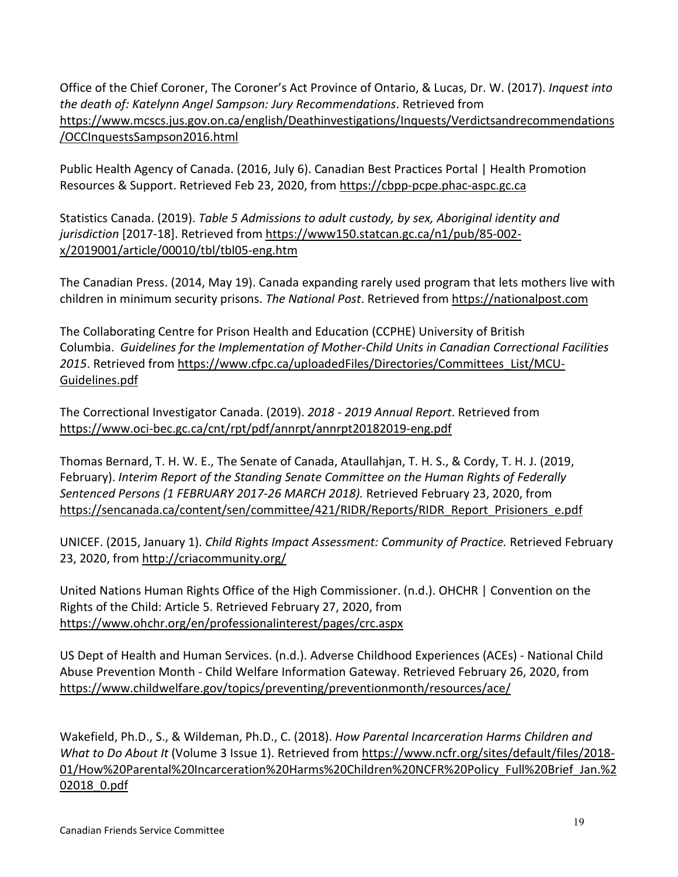Office of the Chief Coroner, The Coroner's Act Province of Ontario, & Lucas, Dr. W. (2017). *Inquest into the death of: Katelynn Angel Sampson: Jury Recommendations*. Retrieved from https://www.mcscs.jus.gov.on.ca/english/Deathinvestigations/Inquests/Verdictsandrecommendations /OCCInquestsSampson2016.html

Public Health Agency of Canada. (2016, July 6). Canadian Best Practices Portal | Health Promotion Resources & Support. Retrieved Feb 23, 2020, from https://cbpp-pcpe.phac-aspc.gc.ca

Statistics Canada. (2019). *Table 5 Admissions to adult custody, by sex, Aboriginal identity and jurisdiction* [2017-18]. Retrieved from https://www150.statcan.gc.ca/n1/pub/85-002 x/2019001/article/00010/tbl/tbl05-eng.htm

The Canadian Press. (2014, May 19). Canada expanding rarely used program that lets mothers live with children in minimum security prisons. *The National Post*. Retrieved from [https://nationalpost.com](https://nationalpost.com/)

The Collaborating Centre for Prison Health and Education (CCPHE) University of British Columbia. *Guidelines for the Implementation of Mother-Child Units in Canadian Correctional Facilities 2015*. Retrieved from https://www.cfpc.ca/uploadedFiles/Directories/Committees\_List/MCU-Guidelines.pdf

The Correctional Investigator Canada. (2019). *2018 - 2019 Annual Report*. Retrieved from <https://www.oci-bec.gc.ca/cnt/rpt/pdf/annrpt/annrpt20182019-eng.pdf>

Thomas Bernard, T. H. W. E., The Senate of Canada, Ataullahjan, T. H. S., & Cordy, T. H. J. (2019, February). *Interim Report of the Standing Senate Committee on the Human Rights of Federally Sentenced Persons (1 FEBRUARY 2017-26 MARCH 2018).* Retrieved February 23, 2020, from https://sencanada.ca/content/sen/committee/421/RIDR/Reports/RIDR\_Report\_Prisioners\_e.pdf

UNICEF. (2015, January 1). *Child Rights Impact Assessment: Community of Practice.* Retrieved February 23, 2020, from http://criacommunity.org/

United Nations Human Rights Office of the High Commissioner. (n.d.). OHCHR | Convention on the Rights of the Child: Article 5. Retrieved February 27, 2020, from https://www.ohchr.org/en/professionalinterest/pages/crc.aspx

US Dept of Health and Human Services. (n.d.). Adverse Childhood Experiences (ACEs) - National Child Abuse Prevention Month - Child Welfare Information Gateway. Retrieved February 26, 2020, from https://www.childwelfare.gov/topics/preventing/preventionmonth/resources/ace/

Wakefield, Ph.D., S., & Wildeman, Ph.D., C. (2018). *How Parental Incarceration Harms Children and What to Do About It* (Volume 3 Issue 1). Retrieved from [https://www.ncfr.org/sites/default/files/2018-](https://www.ncfr.org/sites/default/files/2018-01/How%20Parental%20Incarceration%20Harms%20Children%20NCFR%20Policy_Full%20Brief_Jan.%202018_0.pdf) [01/How%20Parental%20Incarceration%20Harms%20Children%20NCFR%20Policy\\_Full%20Brief\\_Jan.%2](https://www.ncfr.org/sites/default/files/2018-01/How%20Parental%20Incarceration%20Harms%20Children%20NCFR%20Policy_Full%20Brief_Jan.%202018_0.pdf) [02018\\_0.pdf](https://www.ncfr.org/sites/default/files/2018-01/How%20Parental%20Incarceration%20Harms%20Children%20NCFR%20Policy_Full%20Brief_Jan.%202018_0.pdf)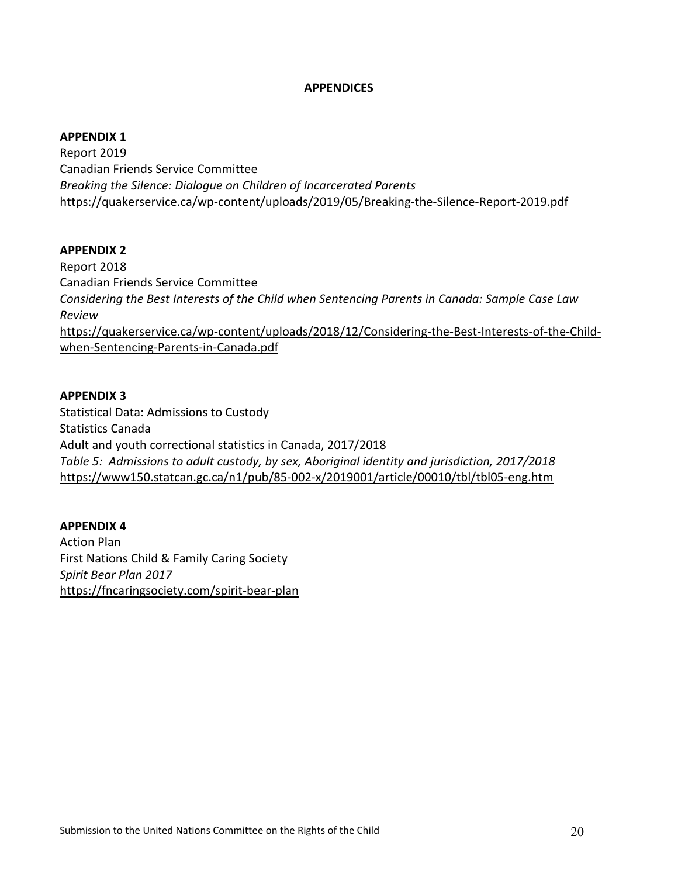#### **APPENDICES**

#### **APPENDIX 1**

Report 2019 Canadian Friends Service Committee *Breaking the Silence: Dialogue on Children of Incarcerated Parents* <https://quakerservice.ca/wp-content/uploads/2019/05/Breaking-the-Silence-Report-2019.pdf>

#### **APPENDIX 2**

Report 2018 Canadian Friends Service Committee *Considering the Best Interests of the Child when Sentencing Parents in Canada: Sample Case Law Review* [https://quakerservice.ca/wp-content/uploads/2018/12/Considering-the-Best-Interests-of-the-Child](https://quakerservice.ca/wp-content/uploads/2018/12/Considering-the-Best-Interests-of-the-Child-when-Sentencing-Parents-in-Canada.pdf)[when-Sentencing-Parents-in-Canada.pdf](https://quakerservice.ca/wp-content/uploads/2018/12/Considering-the-Best-Interests-of-the-Child-when-Sentencing-Parents-in-Canada.pdf)

#### **APPENDIX 3**

Statistical Data: Admissions to Custody Statistics Canada Adult and youth correctional statistics in Canada, 2017/2018 *Table 5: Admissions to adult custody, by sex, Aboriginal identity and jurisdiction, 2017/2018* <https://www150.statcan.gc.ca/n1/pub/85-002-x/2019001/article/00010/tbl/tbl05-eng.htm>

### **APPENDIX 4**

Action Plan First Nations Child & Family Caring Society *Spirit Bear Plan 2017* <https://fncaringsociety.com/spirit-bear-plan>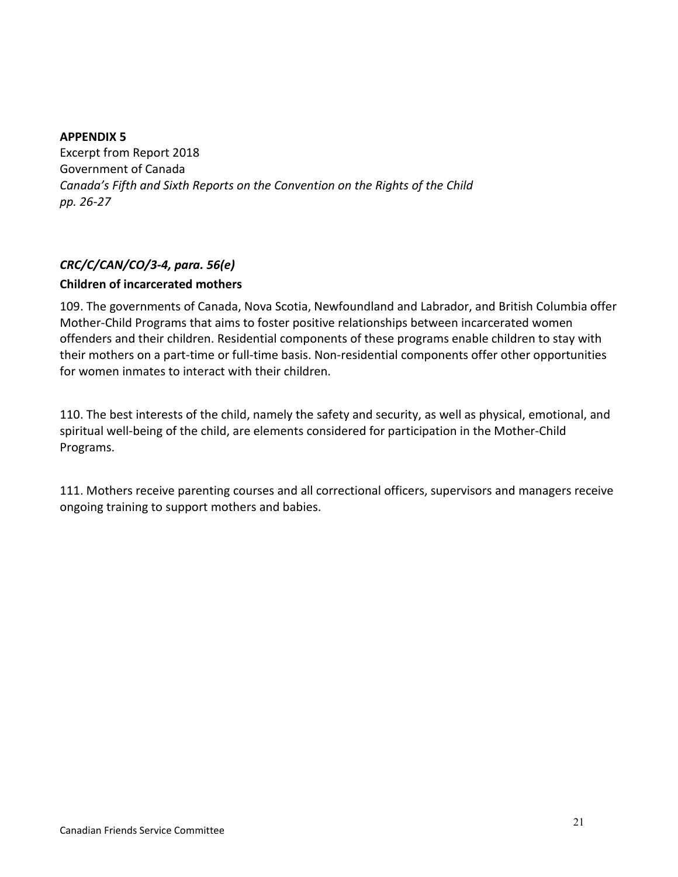### **APPENDIX 5**

Excerpt from Report 2018 Government of Canada *Canada's Fifth and Sixth Reports on the Convention on the Rights of the Child pp. 26-27*

## *CRC/C/CAN/CO/3-4, para. 56(e)*

### **Children of incarcerated mothers**

109. The governments of Canada, Nova Scotia, Newfoundland and Labrador, and British Columbia offer Mother-Child Programs that aims to foster positive relationships between incarcerated women offenders and their children. Residential components of these programs enable children to stay with their mothers on a part-time or full-time basis. Non-residential components offer other opportunities for women inmates to interact with their children.

110. The best interests of the child, namely the safety and security, as well as physical, emotional, and spiritual well-being of the child, are elements considered for participation in the Mother-Child Programs.

111. Mothers receive parenting courses and all correctional officers, supervisors and managers receive ongoing training to support mothers and babies.